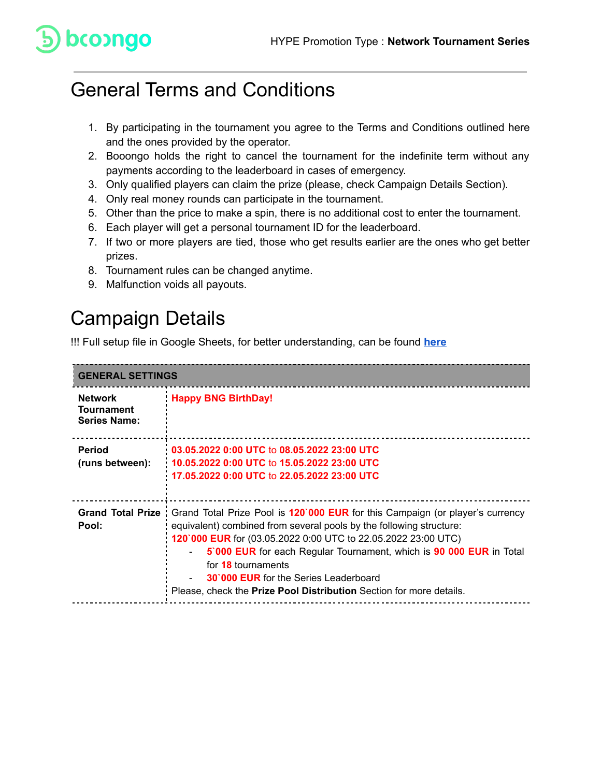# bcoongo

#### General Terms and Conditions

- 1. By participating in the tournament you agree to the Terms and Conditions outlined here and the ones provided by the operator.
- 2. Booongo holds the right to cancel the tournament for the indefinite term without any payments according to the leaderboard in cases of emergency.
- 3. Only qualified players can claim the prize (please, check Campaign Details Section).
- 4. Only real money rounds can participate in the tournament.
- 5. Other than the price to make a spin, there is no additional cost to enter the tournament.
- 6. Each player will get a personal tournament ID for the leaderboard.
- 7. If two or more players are tied, those who get results earlier are the ones who get better prizes.
- 8. Tournament rules can be changed anytime.
- 9. Malfunction voids all payouts.

### Campaign Details

!!! Full setup file in Google Sheets, for better understanding, can be found **[here](https://docs.google.com/spreadsheets/d/1-H_ZOmaiG6Ec0Ww6bhfum_xUCRQu7dgM/edit?usp=sharing&ouid=116013216405928979530&rtpof=true&sd=true)**

| <b>GENERAL SETTINGS</b>                                    |                                                                                                                                                                                                                                                                                                                                                                                                                                                                      |
|------------------------------------------------------------|----------------------------------------------------------------------------------------------------------------------------------------------------------------------------------------------------------------------------------------------------------------------------------------------------------------------------------------------------------------------------------------------------------------------------------------------------------------------|
| <b>Network</b><br><b>Tournament</b><br><b>Series Name:</b> | <b>Happy BNG BirthDay!</b>                                                                                                                                                                                                                                                                                                                                                                                                                                           |
| <b>Period</b><br>(runs between):                           | 03.05.2022 0:00 UTC to 08.05.2022 23:00 UTC<br>10.05.2022 0:00 UTC to 15.05.2022 23:00 UTC<br>17.05.2022 0:00 UTC to 22.05.2022 23:00 UTC                                                                                                                                                                                                                                                                                                                            |
| Pool:                                                      | Grand Total Prize : Grand Total Prize Pool is 120`000 EUR for this Campaign (or player's currency<br>equivalent) combined from several pools by the following structure:<br>120'000 EUR for (03.05.2022 0:00 UTC to 22.05.2022 23:00 UTC)<br>5'000 EUR for each Regular Tournament, which is 90 000 EUR in Total<br>for 18 tournaments<br><b>30'000 EUR</b> for the Series Leaderboard<br>Please, check the <b>Prize Pool Distribution</b> Section for more details. |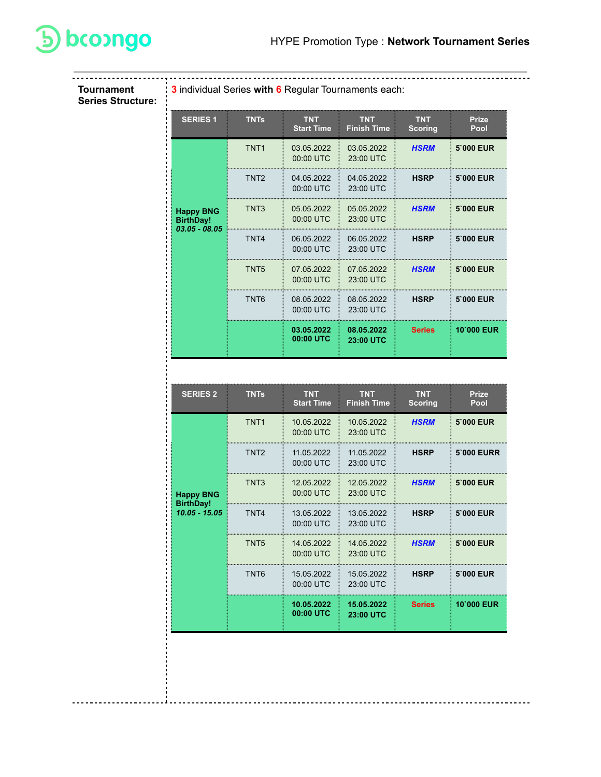

**Tournament Series Structure:**

| 3 individual Series with 6 Regular Tournaments each: |                  |                                 |                                  |                              |                      |
|------------------------------------------------------|------------------|---------------------------------|----------------------------------|------------------------------|----------------------|
| <b>SERIES 1</b>                                      | <b>TNTs</b>      | <b>TNT</b><br><b>Start Time</b> | <b>TNT</b><br><b>Finish Time</b> | <b>TNT</b><br><b>Scoring</b> | <b>Prize</b><br>Pool |
|                                                      | TNT <sub>1</sub> | 03.05.2022<br>00:00 UTC         | 03.05.2022<br>23:00 UTC          | <b>HSRM</b>                  | 5'000 EUR            |
|                                                      | TNT <sub>2</sub> | 04.05.2022<br>00:00 UTC         | 04.05.2022<br>23:00 UTC          | <b>HSRP</b>                  | 5'000 EUR            |
| <b>Happy BNG</b><br><b>BirthDay!</b>                 | TNT <sub>3</sub> | 05.05.2022<br>00:00 UTC         | 05.05.2022<br>23:00 UTC          | <b>HSRM</b>                  | 5'000 EUR            |
| $03.05 - 08.05$                                      | TNT <sub>4</sub> | 06.05.2022<br>00:00 UTC         | 06.05.2022<br>23:00 UTC          | <b>HSRP</b>                  | 5'000 EUR            |
|                                                      | TNT <sub>5</sub> | 07.05.2022<br>00:00 UTC         | 07.05.2022<br>23:00 UTC          | <b>HSRM</b>                  | 5'000 EUR            |
|                                                      | TNT <sub>6</sub> | 08.05.2022<br>00:00 UTC         | 08.05.2022<br>23:00 UTC          | <b>HSRP</b>                  | 5'000 EUR            |
|                                                      |                  | 03.05.2022<br>00:00 UTC         | 08.05.2022<br>23:00 UTC          | <b>Series</b>                | <b>10`000 EUR</b>    |

| <b>SERIES 2</b>                     | <b>TNTs</b>      | <b>TNT</b><br><b>Start Time</b> | <b>TNT</b><br><b>Finish Time</b> | <b>TNT</b><br><b>Scoring</b> | <b>Prize</b><br>Pool |
|-------------------------------------|------------------|---------------------------------|----------------------------------|------------------------------|----------------------|
|                                     | TNT <sub>1</sub> | 10.05.2022<br>00:00 UTC         | 10.05.2022<br>23:00 UTC          | <b>HSRM</b>                  | 5'000 EUR            |
|                                     | TNT <sub>2</sub> | 11.05.2022<br>00:00 UTC         | 11.05.2022<br>23:00 UTC          | <b>HSRP</b>                  | <b>5`000 EURR</b>    |
| <b>Happy BNG</b>                    | TNT <sub>3</sub> | 12.05.2022<br>00:00 UTC         | 12.05.2022<br>23:00 UTC          | <b>HSRM</b>                  | 5'000 EUR            |
| <b>BirthDay!</b><br>$10.05 - 15.05$ | TNT4             | 13.05.2022<br>00:00 UTC         | 13.05.2022<br>23:00 UTC          | <b>HSRP</b>                  | 5'000 EUR            |
|                                     | TNT <sub>5</sub> | 14.05.2022<br>00:00 UTC         | 14.05.2022<br>23:00 UTC          | <b>HSRM</b>                  | 5'000 EUR            |
|                                     | TNT <sub>6</sub> | 15.05.2022<br>00:00 UTC         | 15.05.2022<br>23:00 UTC          | <b>HSRP</b>                  | 5'000 EUR            |
|                                     |                  | 10.05.2022<br>00:00 UTC         | 15.05.2022<br>23:00 UTC          | <b>Series</b>                | 10'000 EUR           |
|                                     |                  |                                 |                                  |                              |                      |
|                                     |                  |                                 |                                  |                              |                      |

-------**i**----------------

-------------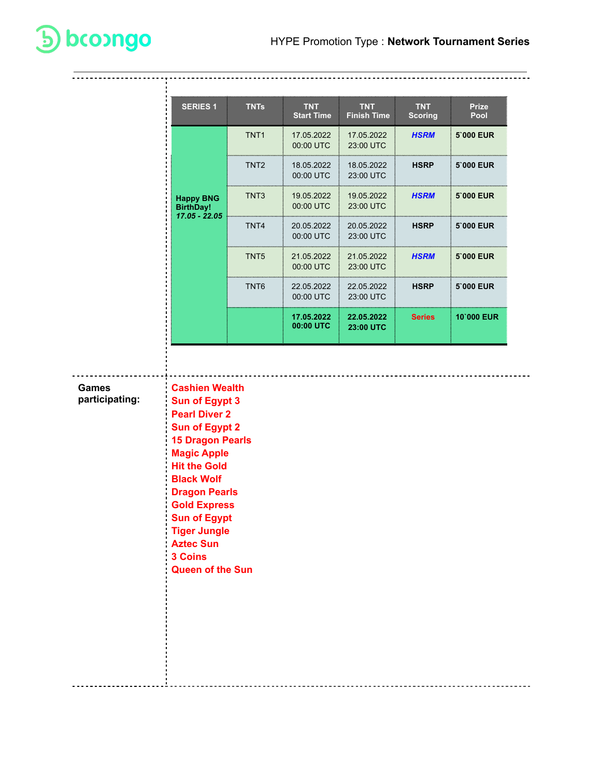| <b>Happy BNG</b><br><b>BirthDay!</b><br>17.05 - 22.05                                                                                      | TNT <sub>1</sub><br>TNT <sub>2</sub><br>TNT <sub>3</sub><br>TNT4<br>TNT5 | 17.05.2022<br>00:00 UTC<br>18.05.2022<br>00:00 UTC<br>19.05.2022<br>00:00 UTC<br>20.05.2022<br>00:00 UTC<br>21.05.2022 | 17.05.2022<br>23:00 UTC<br>18.05.2022<br>23:00 UTC<br>19.05.2022<br>23:00 UTC<br>20.05.2022<br>23:00 UTC | <b>HSRM</b><br><b>HSRP</b><br><b>HSRM</b><br><b>HSRP</b> | 5'000 EUR  |
|--------------------------------------------------------------------------------------------------------------------------------------------|--------------------------------------------------------------------------|------------------------------------------------------------------------------------------------------------------------|----------------------------------------------------------------------------------------------------------|----------------------------------------------------------|------------|
|                                                                                                                                            |                                                                          |                                                                                                                        |                                                                                                          |                                                          | 5'000 EUR  |
|                                                                                                                                            |                                                                          |                                                                                                                        |                                                                                                          |                                                          | 5'000 EUR  |
|                                                                                                                                            |                                                                          |                                                                                                                        |                                                                                                          |                                                          | 5'000 EUR  |
|                                                                                                                                            |                                                                          |                                                                                                                        |                                                                                                          |                                                          |            |
|                                                                                                                                            |                                                                          | 00:00 UTC                                                                                                              | 21.05.2022<br>23:00 UTC                                                                                  | <b>HSRM</b>                                              | 5'000 EUR  |
|                                                                                                                                            | TNT6                                                                     | 22.05.2022<br>00:00 UTC                                                                                                | 22.05.2022<br>23:00 UTC                                                                                  | <b>HSRP</b>                                              | 5'000 EUR  |
|                                                                                                                                            |                                                                          | 17.05.2022<br>00:00 UTC                                                                                                | 22.05.2022<br>23:00 UTC                                                                                  | <b>Series</b>                                            | 10'000 EUR |
| <b>Pearl Diver 2</b><br><b>Sun of Egypt 2</b><br><b>15 Dragon Pearls</b><br><b>Magic Apple</b><br><b>Hit the Gold</b><br><b>Black Wolf</b> |                                                                          |                                                                                                                        |                                                                                                          |                                                          |            |
| <b>Dragon Pearls</b><br><b>Gold Express</b><br><b>Sun of Egypt</b><br><b>Tiger Jungle</b>                                                  |                                                                          |                                                                                                                        |                                                                                                          |                                                          |            |
| <b>Aztec Sun</b>                                                                                                                           |                                                                          |                                                                                                                        |                                                                                                          |                                                          |            |

**D** bcoongo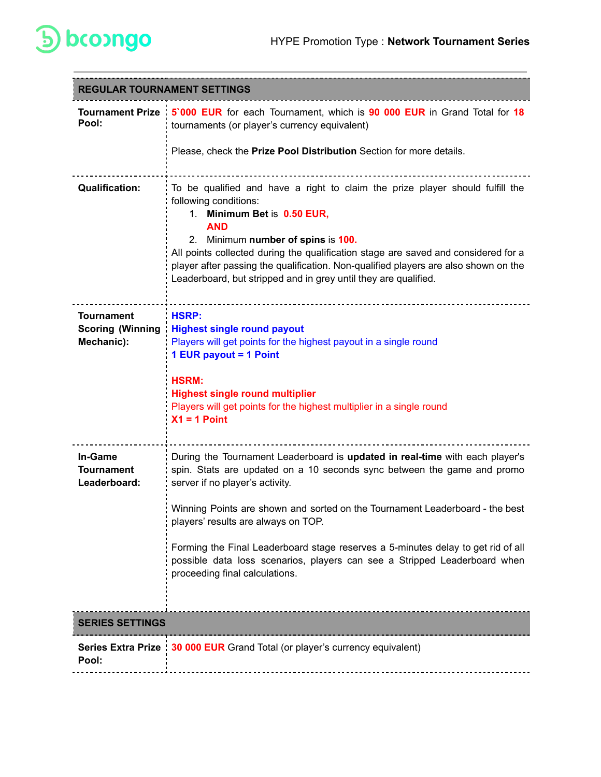

| <b>REGULAR TOURNAMENT SETTINGS</b>                         |                                                                                                                                                                                                                                                                                                                                                                                                                                                                                                                      |
|------------------------------------------------------------|----------------------------------------------------------------------------------------------------------------------------------------------------------------------------------------------------------------------------------------------------------------------------------------------------------------------------------------------------------------------------------------------------------------------------------------------------------------------------------------------------------------------|
| Pool:                                                      | Tournament Prize : 5'000 EUR for each Tournament, which is 90 000 EUR in Grand Total for 18<br>tournaments (or player's currency equivalent)<br>Please, check the Prize Pool Distribution Section for more details.                                                                                                                                                                                                                                                                                                  |
| <b>Qualification:</b>                                      | To be qualified and have a right to claim the prize player should fulfill the<br>following conditions:<br>1. Minimum Bet is 0.50 EUR,<br><b>AND</b><br>2. Minimum number of spins is 100.<br>All points collected during the qualification stage are saved and considered for a<br>player after passing the qualification. Non-qualified players are also shown on the<br>Leaderboard, but stripped and in grey until they are qualified.                                                                            |
| <b>Tournament</b><br><b>Scoring (Winning</b><br>Mechanic): | <b>HSRP:</b><br><b>Highest single round payout</b><br>Players will get points for the highest payout in a single round<br>1 EUR payout = 1 Point<br><b>HSRM:</b><br><b>Highest single round multiplier</b><br>Players will get points for the highest multiplier in a single round<br>$X1 = 1$ Point                                                                                                                                                                                                                 |
| In-Game<br><b>Tournament</b><br>Leaderboard:               | During the Tournament Leaderboard is updated in real-time with each player's<br>spin. Stats are updated on a 10 seconds sync between the game and promo<br>server if no player's activity.<br>Winning Points are shown and sorted on the Tournament Leaderboard - the best<br>players' results are always on TOP.<br>Forming the Final Leaderboard stage reserves a 5-minutes delay to get rid of all<br>possible data loss scenarios, players can see a Stripped Leaderboard when<br>proceeding final calculations. |
| <b>SERIES SETTINGS</b>                                     |                                                                                                                                                                                                                                                                                                                                                                                                                                                                                                                      |
| Pool:                                                      | Series Extra Prize : 30 000 EUR Grand Total (or player's currency equivalent)                                                                                                                                                                                                                                                                                                                                                                                                                                        |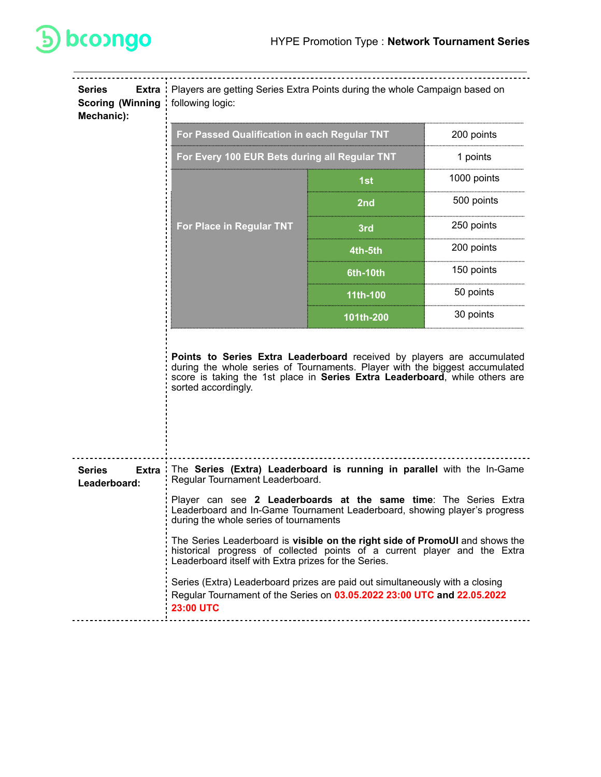

| <b>Series</b><br><b>Extra</b><br><b>Scoring (Winning</b><br>Mechanic): | Players are getting Series Extra Points during the whole Campaign based on<br>following logic:                                                                                                                                                              |            |             |  |  |
|------------------------------------------------------------------------|-------------------------------------------------------------------------------------------------------------------------------------------------------------------------------------------------------------------------------------------------------------|------------|-------------|--|--|
|                                                                        | For Passed Qualification in each Regular TNT                                                                                                                                                                                                                |            | 200 points  |  |  |
|                                                                        | For Every 100 EUR Bets during all Regular TNT                                                                                                                                                                                                               |            | 1 points    |  |  |
|                                                                        |                                                                                                                                                                                                                                                             | 1st        | 1000 points |  |  |
|                                                                        | For Place in Regular TNT                                                                                                                                                                                                                                    | 2nd        | 500 points  |  |  |
|                                                                        |                                                                                                                                                                                                                                                             | 3rd        | 250 points  |  |  |
|                                                                        |                                                                                                                                                                                                                                                             | 4th-5th    | 200 points  |  |  |
|                                                                        |                                                                                                                                                                                                                                                             | $6th-10th$ | 150 points  |  |  |
|                                                                        |                                                                                                                                                                                                                                                             | 11th-100   | 50 points   |  |  |
|                                                                        |                                                                                                                                                                                                                                                             | 101th-200  | 30 points   |  |  |
|                                                                        | Points to Series Extra Leaderboard received by players are accumulated<br>during the whole series of Tournaments. Player with the biggest accumulated<br>score is taking the 1st place in Series Extra Leaderboard, while others are<br>sorted accordingly. |            |             |  |  |
| <b>Extra</b><br>Series<br>Leaderboard:                                 | The Series (Extra) Leaderboard is running in parallel with the In-Game<br>Regular Tournament Leaderboard.                                                                                                                                                   |            |             |  |  |
|                                                                        | Player can see 2 Leaderboards at the same time: The Series Extra<br>Leaderboard and In-Game Tournament Leaderboard, showing player's progress<br>during the whole series of tournaments                                                                     |            |             |  |  |
|                                                                        | The Series Leaderboard is visible on the right side of PromoUI and shows the<br>historical progress of collected points of a current player and the Extra<br>Leaderboard itself with Extra prizes for the Series.                                           |            |             |  |  |
|                                                                        | Series (Extra) Leaderboard prizes are paid out simultaneously with a closing<br>Regular Tournament of the Series on 03.05.2022 23:00 UTC and 22.05.2022<br><b>23:00 UTC</b>                                                                                 |            |             |  |  |